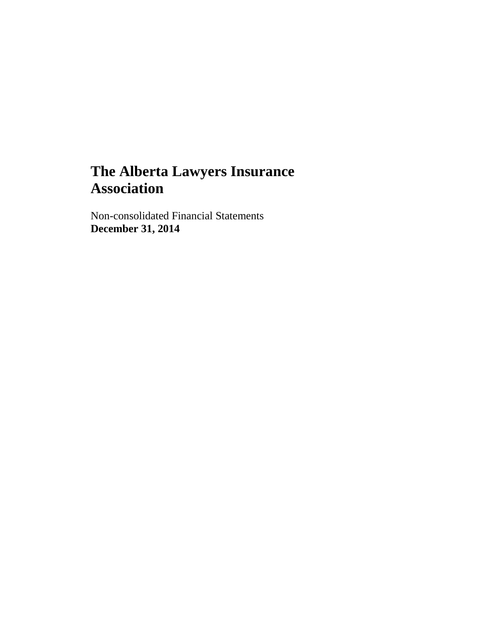Non-consolidated Financial Statements **December 31, 2014**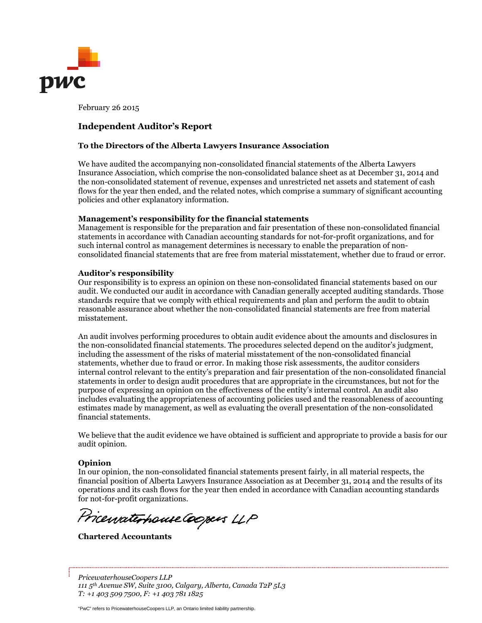

February 26 2015

#### **Independent Auditor's Report**

#### **To the Directors of the Alberta Lawyers Insurance Association**

We have audited the accompanying non-consolidated financial statements of the Alberta Lawyers Insurance Association, which comprise the non-consolidated balance sheet as at December 31, 2014 and the non-consolidated statement of revenue, expenses and unrestricted net assets and statement of cash flows for the year then ended, and the related notes, which comprise a summary of significant accounting policies and other explanatory information.

#### **Management's responsibility for the financial statements**

Management is responsible for the preparation and fair presentation of these non-consolidated financial statements in accordance with Canadian accounting standards for not-for-profit organizations, and for such internal control as management determines is necessary to enable the preparation of nonconsolidated financial statements that are free from material misstatement, whether due to fraud or error.

#### **Auditor's responsibility**

Our responsibility is to express an opinion on these non-consolidated financial statements based on our audit. We conducted our audit in accordance with Canadian generally accepted auditing standards. Those standards require that we comply with ethical requirements and plan and perform the audit to obtain reasonable assurance about whether the non-consolidated financial statements are free from material misstatement.

An audit involves performing procedures to obtain audit evidence about the amounts and disclosures in the non-consolidated financial statements. The procedures selected depend on the auditor's judgment, including the assessment of the risks of material misstatement of the non-consolidated financial statements, whether due to fraud or error. In making those risk assessments, the auditor considers internal control relevant to the entity's preparation and fair presentation of the non-consolidated financial statements in order to design audit procedures that are appropriate in the circumstances, but not for the purpose of expressing an opinion on the effectiveness of the entity's internal control. An audit also includes evaluating the appropriateness of accounting policies used and the reasonableness of accounting estimates made by management, as well as evaluating the overall presentation of the non-consolidated financial statements.

We believe that the audit evidence we have obtained is sufficient and appropriate to provide a basis for our audit opinion.

#### **Opinion**

In our opinion, the non-consolidated financial statements present fairly, in all material respects, the financial position of Alberta Lawyers Insurance Association as at December 31, 2014 and the results of its operations and its cash flows for the year then ended in accordance with Canadian accounting standards for not-for-profit organizations.

Pricewaterhouse Coopers LLP

**Chartered Accountants**

*PricewaterhouseCoopers LLP 111 5th Avenue SW, Suite 3100, Calgary, Alberta, Canada T2P 5L3 T: +1 403 509 7500, F: +1 403 781 1825*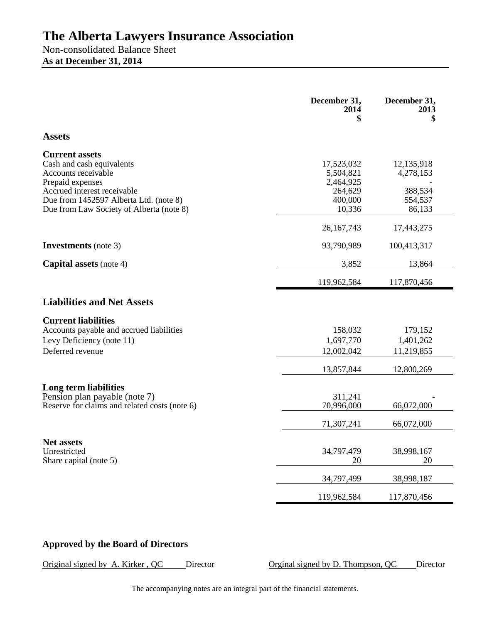Non-consolidated Balance Sheet **As at December 31, 2014**

|                                                                                                                              | December 31,<br>2014<br>\$                      | December 31,<br>2013<br>\$         |
|------------------------------------------------------------------------------------------------------------------------------|-------------------------------------------------|------------------------------------|
| <b>Assets</b>                                                                                                                |                                                 |                                    |
|                                                                                                                              |                                                 |                                    |
| <b>Current assets</b><br>Cash and cash equivalents<br>Accounts receivable<br>Prepaid expenses<br>Accrued interest receivable | 17,523,032<br>5,504,821<br>2,464,925<br>264,629 | 12,135,918<br>4,278,153<br>388,534 |
| Due from 1452597 Alberta Ltd. (note 8)<br>Due from Law Society of Alberta (note 8)                                           | 400,000<br>10,336                               | 554,537<br>86,133                  |
|                                                                                                                              | 26,167,743                                      | 17,443,275                         |
| <b>Investments</b> (note 3)                                                                                                  | 93,790,989                                      | 100,413,317                        |
| <b>Capital assets</b> (note 4)                                                                                               | 3,852                                           | 13,864                             |
|                                                                                                                              | 119,962,584                                     | 117,870,456                        |
| <b>Liabilities and Net Assets</b>                                                                                            |                                                 |                                    |
| <b>Current liabilities</b>                                                                                                   |                                                 |                                    |
| Accounts payable and accrued liabilities<br>Levy Deficiency (note 11)<br>Deferred revenue                                    | 158,032<br>1,697,770<br>12,002,042              | 179,152<br>1,401,262<br>11,219,855 |
|                                                                                                                              | 13,857,844                                      | 12,800,269                         |
| Long term liabilities                                                                                                        |                                                 |                                    |
| Pension plan payable (note 7)<br>Reserve for claims and related costs (note 6)                                               | 311,241<br>70,996,000                           | 66,072,000                         |
|                                                                                                                              | 71,307,241                                      | 66,072,000                         |
| <b>Net assets</b>                                                                                                            |                                                 |                                    |
| Unrestricted<br>Share capital (note 5)                                                                                       | 34,797,479<br>20                                | 38,998,167<br>20                   |
|                                                                                                                              | 34,797,499                                      | 38,998,187                         |
|                                                                                                                              | 119,962,584                                     | 117,870,456                        |

## **Approved by the Board of Directors**

Original signed by A. Kirker, QC Director Director Orginal signed by D. Thompson, QC Director

The accompanying notes are an integral part of the financial statements.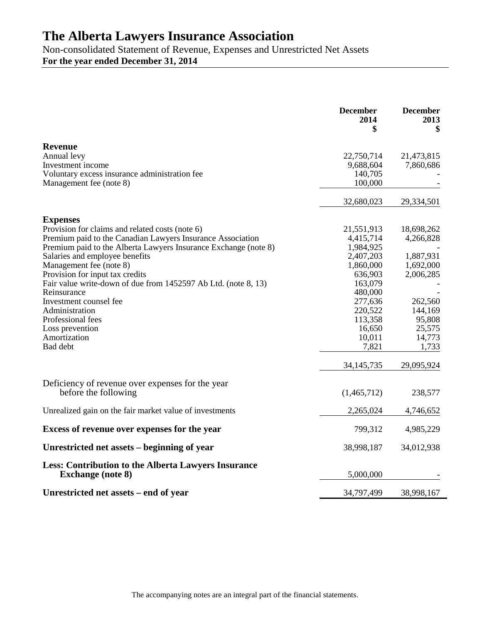Non-consolidated Statement of Revenue, Expenses and Unrestricted Net Assets **For the year ended December 31, 2014**

|                                                                                                                                                                                                                                                                                                                                                                                                                                                                                                      | <b>December</b><br>2014<br>\$                                                                                                                                                 | <b>December</b><br>2013<br>\$                                                                                                             |
|------------------------------------------------------------------------------------------------------------------------------------------------------------------------------------------------------------------------------------------------------------------------------------------------------------------------------------------------------------------------------------------------------------------------------------------------------------------------------------------------------|-------------------------------------------------------------------------------------------------------------------------------------------------------------------------------|-------------------------------------------------------------------------------------------------------------------------------------------|
| <b>Revenue</b><br>Annual levy<br>Investment income<br>Voluntary excess insurance administration fee<br>Management fee (note 8)                                                                                                                                                                                                                                                                                                                                                                       | 22,750,714<br>9,688,604<br>140,705<br>100,000                                                                                                                                 | 21,473,815<br>7,860,686                                                                                                                   |
|                                                                                                                                                                                                                                                                                                                                                                                                                                                                                                      | 32,680,023                                                                                                                                                                    | 29,334,501                                                                                                                                |
| <b>Expenses</b><br>Provision for claims and related costs (note 6)<br>Premium paid to the Canadian Lawyers Insurance Association<br>Premium paid to the Alberta Lawyers Insurance Exchange (note 8)<br>Salaries and employee benefits<br>Management fee (note 8)<br>Provision for input tax credits<br>Fair value write-down of due from 1452597 Ab Ltd. (note 8, 13)<br>Reinsurance<br>Investment counsel fee<br>Administration<br>Professional fees<br>Loss prevention<br>Amortization<br>Bad debt | 21,551,913<br>4,415,714<br>1,984,925<br>2,407,203<br>1,860,000<br>636,903<br>163,079<br>480,000<br>277,636<br>220,522<br>113,358<br>16,650<br>10,011<br>7,821<br>34, 145, 735 | 18,698,262<br>4,266,828<br>1,887,931<br>1,692,000<br>2,006,285<br>262,560<br>144,169<br>95,808<br>25,575<br>14,773<br>1,733<br>29,095,924 |
| Deficiency of revenue over expenses for the year<br>before the following                                                                                                                                                                                                                                                                                                                                                                                                                             | (1,465,712)                                                                                                                                                                   | 238,577                                                                                                                                   |
| Unrealized gain on the fair market value of investments                                                                                                                                                                                                                                                                                                                                                                                                                                              | 2,265,024                                                                                                                                                                     | 4,746,652                                                                                                                                 |
| Excess of revenue over expenses for the year                                                                                                                                                                                                                                                                                                                                                                                                                                                         | 799,312                                                                                                                                                                       | 4,985,229                                                                                                                                 |
| Unrestricted net assets – beginning of year                                                                                                                                                                                                                                                                                                                                                                                                                                                          | 38,998,187                                                                                                                                                                    | 34,012,938                                                                                                                                |
| <b>Less: Contribution to the Alberta Lawyers Insurance</b><br><b>Exchange (note 8)</b>                                                                                                                                                                                                                                                                                                                                                                                                               | 5,000,000                                                                                                                                                                     |                                                                                                                                           |
| Unrestricted net assets – end of year                                                                                                                                                                                                                                                                                                                                                                                                                                                                | 34,797,499                                                                                                                                                                    | 38,998,167                                                                                                                                |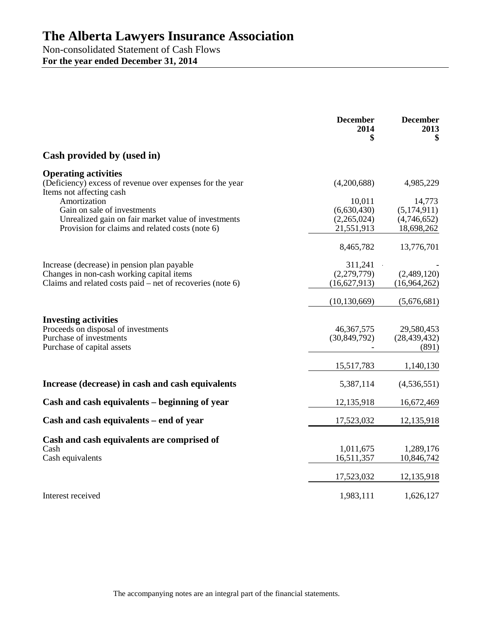Non-consolidated Statement of Cash Flows **For the year ended December 31, 2014**

|                                                                                                                                                                                                                            | <b>December</b><br>2014                             | <b>December</b><br>2013<br>\$                     |
|----------------------------------------------------------------------------------------------------------------------------------------------------------------------------------------------------------------------------|-----------------------------------------------------|---------------------------------------------------|
| Cash provided by (used in)                                                                                                                                                                                                 |                                                     |                                                   |
| <b>Operating activities</b><br>(Deficiency) excess of revenue over expenses for the year<br>Items not affecting cash<br>Amortization<br>Gain on sale of investments<br>Unrealized gain on fair market value of investments | (4,200,688)<br>10,011<br>(6,630,430)<br>(2,265,024) | 4,985,229<br>14,773<br>(5,174,911)<br>(4,746,652) |
| Provision for claims and related costs (note 6)                                                                                                                                                                            | 21,551,913                                          | 18,698,262                                        |
|                                                                                                                                                                                                                            | 8,465,782                                           | 13,776,701                                        |
| Increase (decrease) in pension plan payable<br>Changes in non-cash working capital items<br>Claims and related costs paid $-$ net of recoveries (note 6)                                                                   | 311,241<br>(2,279,779)<br>(16,627,913)              | (2,489,120)<br>(16,964,262)                       |
|                                                                                                                                                                                                                            | (10, 130, 669)                                      | (5,676,681)                                       |
| <b>Investing activities</b><br>Proceeds on disposal of investments<br>Purchase of investments<br>Purchase of capital assets                                                                                                | 46, 367, 575<br>(30, 849, 792)                      | 29,580,453<br>(28, 439, 432)<br>(891)             |
|                                                                                                                                                                                                                            | 15,517,783                                          | 1,140,130                                         |
| Increase (decrease) in cash and cash equivalents                                                                                                                                                                           | 5,387,114                                           | (4,536,551)                                       |
| Cash and cash equivalents – beginning of year                                                                                                                                                                              | 12,135,918                                          | 16,672,469                                        |
| Cash and cash equivalents – end of year                                                                                                                                                                                    | 17,523,032                                          | 12,135,918                                        |
| Cash and cash equivalents are comprised of<br>Cash<br>Cash equivalents                                                                                                                                                     | 1,011,675<br>16,511,357                             | 1,289,176<br>10,846,742                           |
|                                                                                                                                                                                                                            | 17,523,032                                          | 12,135,918                                        |
| Interest received                                                                                                                                                                                                          | 1,983,111                                           | 1,626,127                                         |

The accompanying notes are an integral part of the financial statements.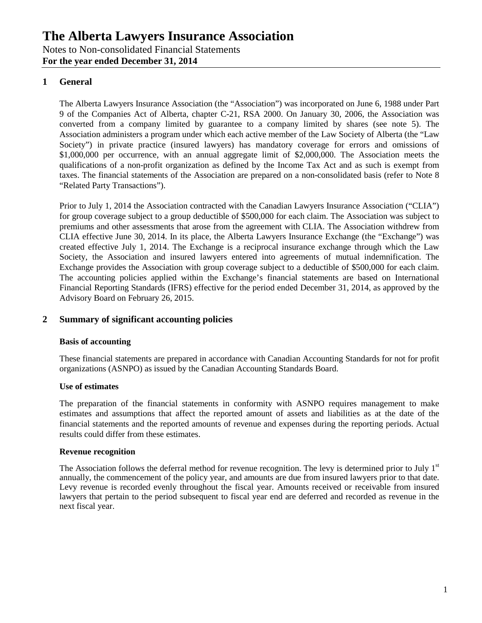## **1 General**

The Alberta Lawyers Insurance Association (the "Association") was incorporated on June 6, 1988 under Part 9 of the Companies Act of Alberta, chapter C-21, RSA 2000. On January 30, 2006, the Association was converted from a company limited by guarantee to a company limited by shares (see note 5). The Association administers a program under which each active member of the Law Society of Alberta (the "Law Society") in private practice (insured lawyers) has mandatory coverage for errors and omissions of \$1,000,000 per occurrence, with an annual aggregate limit of \$2,000,000. The Association meets the qualifications of a non-profit organization as defined by the Income Tax Act and as such is exempt from taxes. The financial statements of the Association are prepared on a non-consolidated basis (refer to Note 8 "Related Party Transactions").

Prior to July 1, 2014 the Association contracted with the Canadian Lawyers Insurance Association ("CLIA") for group coverage subject to a group deductible of \$500,000 for each claim. The Association was subject to premiums and other assessments that arose from the agreement with CLIA. The Association withdrew from CLIA effective June 30, 2014. In its place, the Alberta Lawyers Insurance Exchange (the "Exchange") was created effective July 1, 2014. The Exchange is a reciprocal insurance exchange through which the Law Society, the Association and insured lawyers entered into agreements of mutual indemnification. The Exchange provides the Association with group coverage subject to a deductible of \$500,000 for each claim. The accounting policies applied within the Exchange's financial statements are based on International Financial Reporting Standards (IFRS) effective for the period ended December 31, 2014, as approved by the Advisory Board on February 26, 2015.

## **2 Summary of significant accounting policies**

#### **Basis of accounting**

These financial statements are prepared in accordance with Canadian Accounting Standards for not for profit organizations (ASNPO) as issued by the Canadian Accounting Standards Board.

#### **Use of estimates**

The preparation of the financial statements in conformity with ASNPO requires management to make estimates and assumptions that affect the reported amount of assets and liabilities as at the date of the financial statements and the reported amounts of revenue and expenses during the reporting periods. Actual results could differ from these estimates.

#### **Revenue recognition**

The Association follows the deferral method for revenue recognition. The levy is determined prior to July  $1<sup>st</sup>$ annually, the commencement of the policy year, and amounts are due from insured lawyers prior to that date. Levy revenue is recorded evenly throughout the fiscal year. Amounts received or receivable from insured lawyers that pertain to the period subsequent to fiscal year end are deferred and recorded as revenue in the next fiscal year.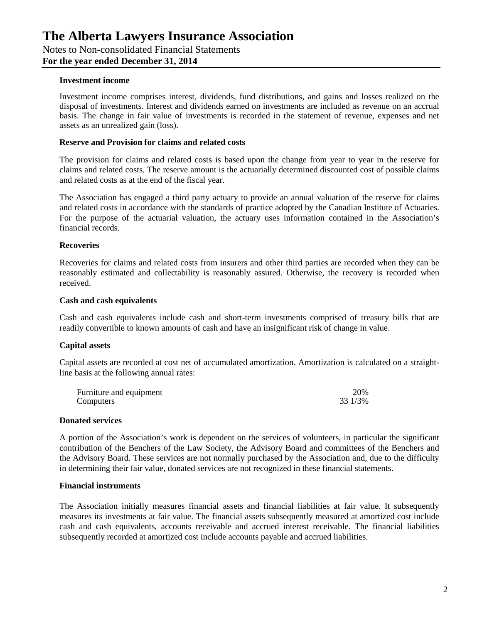#### **Investment income**

Investment income comprises interest, dividends, fund distributions, and gains and losses realized on the disposal of investments. Interest and dividends earned on investments are included as revenue on an accrual basis. The change in fair value of investments is recorded in the statement of revenue, expenses and net assets as an unrealized gain (loss).

#### **Reserve and Provision for claims and related costs**

The provision for claims and related costs is based upon the change from year to year in the reserve for claims and related costs. The reserve amount is the actuarially determined discounted cost of possible claims and related costs as at the end of the fiscal year.

The Association has engaged a third party actuary to provide an annual valuation of the reserve for claims and related costs in accordance with the standards of practice adopted by the Canadian Institute of Actuaries. For the purpose of the actuarial valuation, the actuary uses information contained in the Association's financial records.

#### **Recoveries**

Recoveries for claims and related costs from insurers and other third parties are recorded when they can be reasonably estimated and collectability is reasonably assured. Otherwise, the recovery is recorded when received.

#### **Cash and cash equivalents**

Cash and cash equivalents include cash and short-term investments comprised of treasury bills that are readily convertible to known amounts of cash and have an insignificant risk of change in value.

#### **Capital assets**

Capital assets are recorded at cost net of accumulated amortization. Amortization is calculated on a straightline basis at the following annual rates:

| Furniture and equipment | 20%     |
|-------------------------|---------|
| Computers               | 33 1/3% |

#### **Donated services**

A portion of the Association's work is dependent on the services of volunteers, in particular the significant contribution of the Benchers of the Law Society, the Advisory Board and committees of the Benchers and the Advisory Board. These services are not normally purchased by the Association and, due to the difficulty in determining their fair value, donated services are not recognized in these financial statements.

#### **Financial instruments**

The Association initially measures financial assets and financial liabilities at fair value. It subsequently measures its investments at fair value. The financial assets subsequently measured at amortized cost include cash and cash equivalents, accounts receivable and accrued interest receivable. The financial liabilities subsequently recorded at amortized cost include accounts payable and accrued liabilities.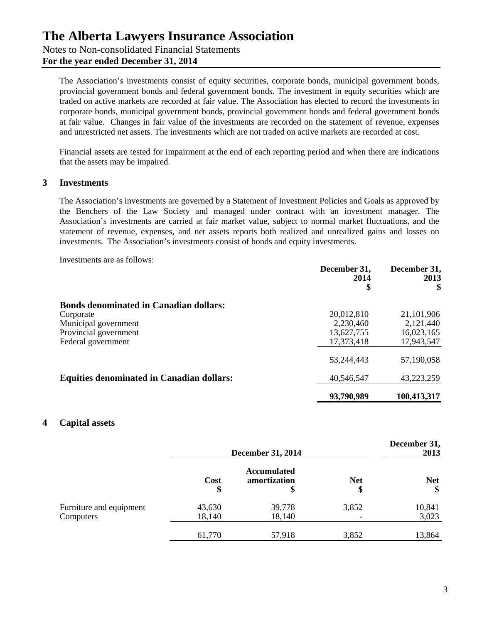Notes to Non-consolidated Financial Statements

**For the year ended December 31, 2014**

The Association's investments consist of equity securities, corporate bonds, municipal government bonds, provincial government bonds and federal government bonds. The investment in equity securities which are traded on active markets are recorded at fair value. The Association has elected to record the investments in corporate bonds, municipal government bonds, provincial government bonds and federal government bonds at fair value. Changes in fair value of the investments are recorded on the statement of revenue, expenses and unrestricted net assets. The investments which are not traded on active markets are recorded at cost.

Financial assets are tested for impairment at the end of each reporting period and when there are indications that the assets may be impaired.

### **3 Investments**

The Association's investments are governed by a Statement of Investment Policies and Goals as approved by the Benchers of the Law Society and managed under contract with an investment manager. The Association's investments are carried at fair market value, subject to normal market fluctuations, and the statement of revenue, expenses, and net assets reports both realized and unrealized gains and losses on investments. The Association's investments consist of bonds and equity investments.

Investments are as follows:

|                                                  | December 31,<br>2014<br>\$ | December 31,<br>2013<br>\$ |
|--------------------------------------------------|----------------------------|----------------------------|
| <b>Bonds denominated in Canadian dollars:</b>    |                            |                            |
| Corporate                                        | 20,012,810                 | 21, 101, 906               |
| Municipal government                             | 2,230,460                  | 2,121,440                  |
| Provincial government                            | 13,627,755                 | 16,023,165                 |
| Federal government                               | 17,373,418                 | 17,943,547                 |
|                                                  | 53,244,443                 | 57,190,058                 |
| <b>Equities denominated in Canadian dollars:</b> | 40,546,547                 | 43,223,259                 |
|                                                  | 93,790,989                 | 100,413,317                |

### **4 Capital assets**

|                                      | <b>December 31, 2014</b> |                                          | December 31,<br>2013 |                  |
|--------------------------------------|--------------------------|------------------------------------------|----------------------|------------------|
|                                      | Cost<br>\$               | <b>Accumulated</b><br>amortization<br>\$ | <b>Net</b><br>\$     | <b>Net</b><br>\$ |
| Furniture and equipment<br>Computers | 43,630<br>18,140         | 39,778<br>18,140                         | 3,852                | 10,841<br>3,023  |
|                                      | 61,770                   | 57,918                                   | 3,852                | 13,864           |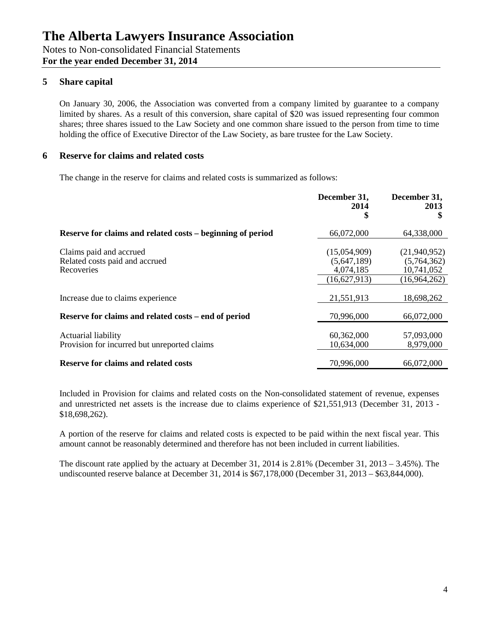## **5 Share capital**

On January 30, 2006, the Association was converted from a company limited by guarantee to a company limited by shares. As a result of this conversion, share capital of \$20 was issued representing four common shares; three shares issued to the Law Society and one common share issued to the person from time to time holding the office of Executive Director of the Law Society, as bare trustee for the Law Society.

### **6 Reserve for claims and related costs**

The change in the reserve for claims and related costs is summarized as follows:

|                                                                         | December 31,<br>2014<br>\$                                 | December 31,<br>2013                                      |
|-------------------------------------------------------------------------|------------------------------------------------------------|-----------------------------------------------------------|
| Reserve for claims and related costs – beginning of period              | 66,072,000                                                 | 64,338,000                                                |
| Claims paid and accrued<br>Related costs paid and accrued<br>Recoveries | (15,054,909)<br>(5,647,189)<br>4,074,185<br>(16, 627, 913) | (21,940,952)<br>(5,764,362)<br>10,741,052<br>(16,964,262) |
| Increase due to claims experience                                       | 21,551,913                                                 | 18,698,262                                                |
| Reserve for claims and related costs – end of period                    | 70,996,000                                                 | 66,072,000                                                |
| Actuarial liability<br>Provision for incurred but unreported claims     | 60,362,000<br>10,634,000                                   | 57,093,000<br>8,979,000                                   |
| <b>Reserve for claims and related costs</b>                             | 70,996,000                                                 | 66,072,000                                                |

Included in Provision for claims and related costs on the Non-consolidated statement of revenue, expenses and unrestricted net assets is the increase due to claims experience of \$21,551,913 (December 31, 2013 - \$18,698,262).

A portion of the reserve for claims and related costs is expected to be paid within the next fiscal year. This amount cannot be reasonably determined and therefore has not been included in current liabilities.

The discount rate applied by the actuary at December 31, 2014 is 2.81% (December 31, 2013 – 3.45%). The undiscounted reserve balance at December 31, 2014 is \$67,178,000 (December 31, 2013 – \$63,844,000).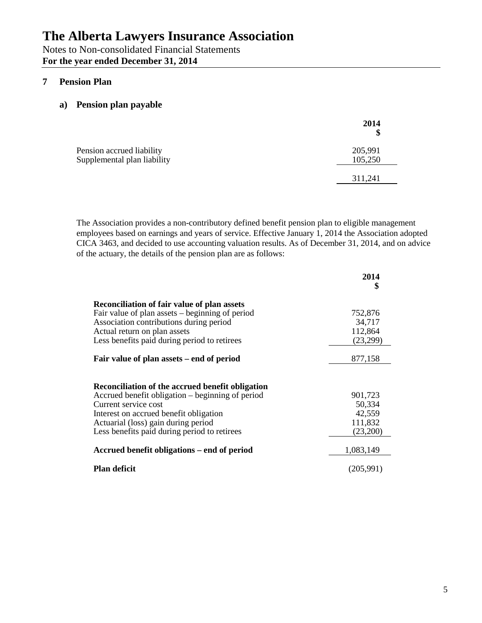Notes to Non-consolidated Financial Statements **For the year ended December 31, 2014**

## **7 Pension Plan**

## **a) Pension plan payable**

|                                                          | 2014<br>\$         |
|----------------------------------------------------------|--------------------|
| Pension accrued liability<br>Supplemental plan liability | 205,991<br>105,250 |
|                                                          | 311,241            |

The Association provides a non-contributory defined benefit pension plan to eligible management employees based on earnings and years of service. Effective January 1, 2014 the Association adopted CICA 3463, and decided to use accounting valuation results. As of December 31, 2014, and on advice of the actuary, the details of the pension plan are as follows:

|                                                                                                                                                                                                                                                               | 2014<br>\$                                         |
|---------------------------------------------------------------------------------------------------------------------------------------------------------------------------------------------------------------------------------------------------------------|----------------------------------------------------|
| <b>Reconciliation of fair value of plan assets</b><br>Fair value of plan assets – beginning of period<br>Association contributions during period<br>Actual return on plan assets<br>Less benefits paid during period to retirees                              | 752,876<br>34,717<br>112,864<br>(23,299)           |
| Fair value of plan assets – end of period                                                                                                                                                                                                                     | 877,158                                            |
| Reconciliation of the accrued benefit obligation<br>Accrued benefit obligation – beginning of period<br>Current service cost<br>Interest on accrued benefit obligation<br>Actuarial (loss) gain during period<br>Less benefits paid during period to retirees | 901,723<br>50,334<br>42,559<br>111,832<br>(23,200) |
| Accrued benefit obligations – end of period                                                                                                                                                                                                                   | 1,083,149                                          |
| <b>Plan deficit</b>                                                                                                                                                                                                                                           | (205,991)                                          |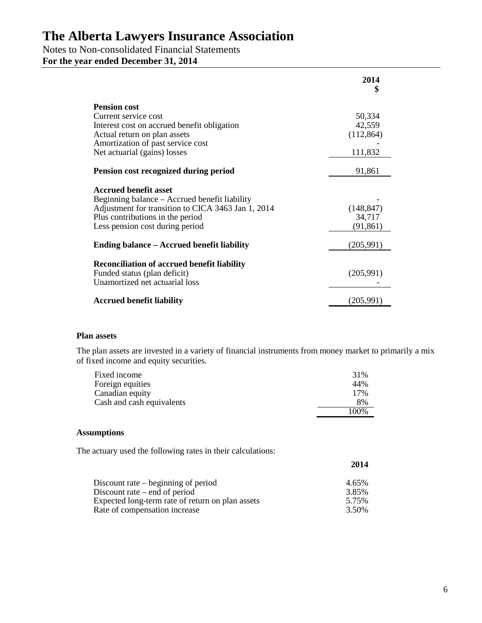## Notes to Non-consolidated Financial Statements

**For the year ended December 31, 2014**

|                                                                                    | 2014<br>\$ |
|------------------------------------------------------------------------------------|------------|
| <b>Pension cost</b>                                                                |            |
| Current service cost                                                               | 50,334     |
| Interest cost on accrued benefit obligation                                        | 42,559     |
| Actual return on plan assets                                                       | (112, 864) |
| Amortization of past service cost                                                  |            |
| Net actuarial (gains) losses                                                       | 111,832    |
| Pension cost recognized during period                                              | 91,861     |
| <b>Accrued benefit asset</b>                                                       |            |
| Beginning balance – Accrued benefit liability                                      |            |
| Adjustment for transition to CICA 3463 Jan 1, 2014                                 | (148, 847) |
| Plus contributions in the period                                                   | 34,717     |
| Less pension cost during period                                                    | (91, 861)  |
| Ending balance – Accrued benefit liability                                         | (205, 991) |
| <b>Reconciliation of accrued benefit liability</b><br>Funded status (plan deficit) | (205,991)  |
| Unamortized net actuarial loss                                                     |            |
| <b>Accrued benefit liability</b>                                                   | (205,991)  |

### **Plan assets**

The plan assets are invested in a variety of financial instruments from money market to primarily a mix of fixed income and equity securities.

| Fixed income              | 31%   |
|---------------------------|-------|
| Foreign equities          | 44%   |
| Canadian equity           | 17%   |
| Cash and cash equivalents | 8%    |
|                           | 100\% |

#### **Assumptions**

The actuary used the following rates in their calculations:

|                                                  | 2014  |
|--------------------------------------------------|-------|
| Discount rate $-$ beginning of period            | 4.65% |
| Discount rate $-$ end of period                  | 3.85% |
| Expected long-term rate of return on plan assets | 5.75% |
| Rate of compensation increase                    | 3.50% |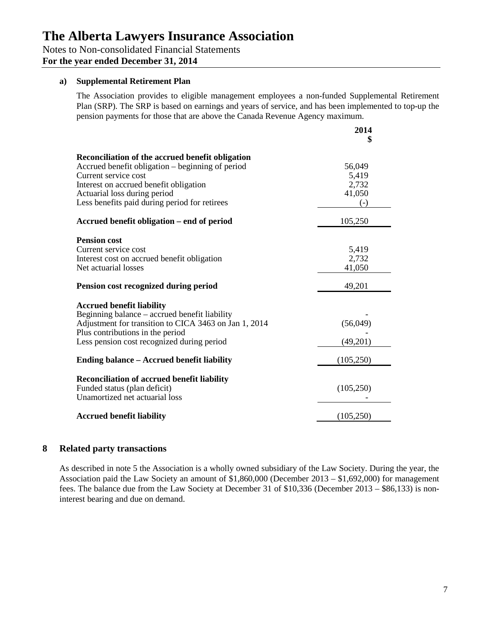Notes to Non-consolidated Financial Statements

**For the year ended December 31, 2014**

#### **a) Supplemental Retirement Plan**

The Association provides to eligible management employees a non-funded Supplemental Retirement Plan (SRP). The SRP is based on earnings and years of service, and has been implemented to top-up the pension payments for those that are above the Canada Revenue Agency maximum.

|                                                                                                                                                                                                                                                         | 2014                                        |
|---------------------------------------------------------------------------------------------------------------------------------------------------------------------------------------------------------------------------------------------------------|---------------------------------------------|
| Reconciliation of the accrued benefit obligation<br>Accrued benefit obligation – beginning of period<br>Current service cost<br>Interest on accrued benefit obligation<br>Actuarial loss during period<br>Less benefits paid during period for retirees | 56,049<br>5,419<br>2,732<br>41,050<br>$(-)$ |
| Accrued benefit obligation – end of period                                                                                                                                                                                                              | 105,250                                     |
| <b>Pension cost</b><br>Current service cost<br>Interest cost on accrued benefit obligation<br>Net actuarial losses                                                                                                                                      | 5,419<br>2,732<br>41,050                    |
| Pension cost recognized during period                                                                                                                                                                                                                   | 49,201                                      |
| <b>Accrued benefit liability</b><br>Beginning balance – accrued benefit liability<br>Adjustment for transition to CICA 3463 on Jan 1, 2014<br>Plus contributions in the period<br>Less pension cost recognized during period                            | (56,049)<br>(49,201)                        |
| Ending balance – Accrued benefit liability                                                                                                                                                                                                              | (105, 250)                                  |
| <b>Reconciliation of accrued benefit liability</b><br>Funded status (plan deficit)<br>Unamortized net actuarial loss                                                                                                                                    | (105, 250)                                  |
| <b>Accrued benefit liability</b>                                                                                                                                                                                                                        | (105, 250)                                  |

### **8 Related party transactions**

As described in note 5 the Association is a wholly owned subsidiary of the Law Society. During the year, the Association paid the Law Society an amount of \$1,860,000 (December 2013 – \$1,692,000) for management fees. The balance due from the Law Society at December 31 of \$10,336 (December 2013 – \$86,133) is noninterest bearing and due on demand.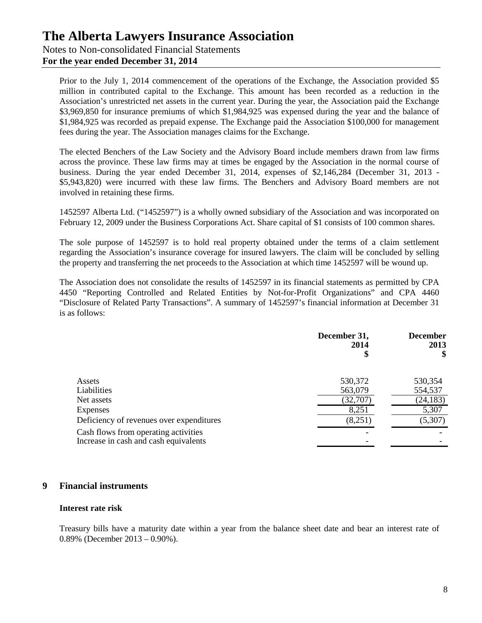Notes to Non-consolidated Financial Statements

**For the year ended December 31, 2014**

Prior to the July 1, 2014 commencement of the operations of the Exchange, the Association provided \$5 million in contributed capital to the Exchange. This amount has been recorded as a reduction in the Association's unrestricted net assets in the current year. During the year, the Association paid the Exchange \$3,969,850 for insurance premiums of which \$1,984,925 was expensed during the year and the balance of \$1,984,925 was recorded as prepaid expense. The Exchange paid the Association \$100,000 for management fees during the year. The Association manages claims for the Exchange.

The elected Benchers of the Law Society and the Advisory Board include members drawn from law firms across the province. These law firms may at times be engaged by the Association in the normal course of business. During the year ended December 31, 2014, expenses of \$2,146,284 (December 31, 2013 - \$5,943,820) were incurred with these law firms. The Benchers and Advisory Board members are not involved in retaining these firms.

1452597 Alberta Ltd. ("1452597") is a wholly owned subsidiary of the Association and was incorporated on February 12, 2009 under the Business Corporations Act. Share capital of \$1 consists of 100 common shares.

The sole purpose of 1452597 is to hold real property obtained under the terms of a claim settlement regarding the Association's insurance coverage for insured lawyers. The claim will be concluded by selling the property and transferring the net proceeds to the Association at which time 1452597 will be wound up.

The Association does not consolidate the results of 1452597 in its financial statements as permitted by CPA 4450 "Reporting Controlled and Related Entities by Not-for-Profit Organizations" and CPA 4460 "Disclosure of Related Party Transactions". A summary of 1452597's financial information at December 31 is as follows:

|                                                                               | December 31,<br>2014<br>\$ | <b>December</b><br>2013<br>\$ |
|-------------------------------------------------------------------------------|----------------------------|-------------------------------|
| Assets                                                                        | 530,372                    | 530,354                       |
| Liabilities                                                                   | 563,079                    | 554,537                       |
| Net assets                                                                    | (32,707)                   | (24, 183)                     |
| Expenses                                                                      | 8,251                      | 5,307                         |
| Deficiency of revenues over expenditures                                      | (8,251)                    | (5,307)                       |
| Cash flows from operating activities<br>Increase in cash and cash equivalents |                            |                               |

### **9 Financial instruments**

#### **Interest rate risk**

Treasury bills have a maturity date within a year from the balance sheet date and bear an interest rate of 0.89% (December 2013 – 0.90%).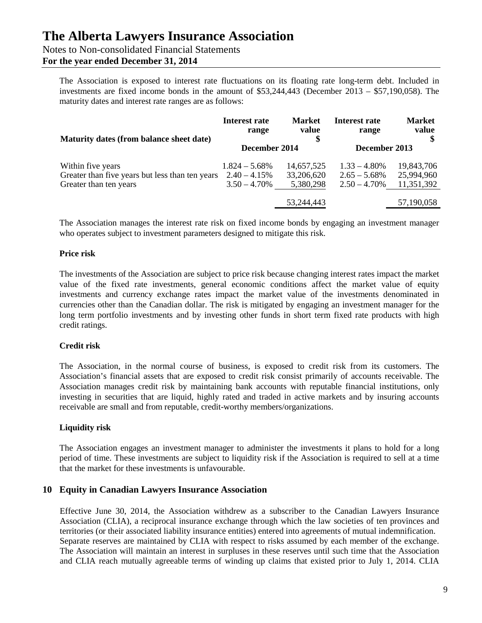Notes to Non-consolidated Financial Statements

## **For the year ended December 31, 2014**

The Association is exposed to interest rate fluctuations on its floating rate long-term debt. Included in investments are fixed income bonds in the amount of \$53,244,443 (December 2013 – \$57,190,058). The maturity dates and interest rate ranges are as follows:

| Maturity dates (from balance sheet date)                                                       | <b>Interest rate</b><br>range                         | <b>Market</b><br>value                | <b>Interest rate</b><br>range                         | <b>Market</b><br>value                 |
|------------------------------------------------------------------------------------------------|-------------------------------------------------------|---------------------------------------|-------------------------------------------------------|----------------------------------------|
|                                                                                                | December 2014                                         |                                       | December 2013                                         |                                        |
| Within five years<br>Greater than five years but less than ten years<br>Greater than ten years | $1.824 - 5.68\%$<br>$2.40 - 4.15%$<br>$3.50 - 4.70\%$ | 14,657,525<br>33,206,620<br>5,380,298 | $1.33 - 4.80\%$<br>$2.65 - 5.68\%$<br>$2.50 - 4.70\%$ | 19,843,706<br>25,994,960<br>11,351,392 |
|                                                                                                |                                                       | 53,244,443                            |                                                       | 57,190,058                             |

The Association manages the interest rate risk on fixed income bonds by engaging an investment manager who operates subject to investment parameters designed to mitigate this risk.

### **Price risk**

The investments of the Association are subject to price risk because changing interest rates impact the market value of the fixed rate investments, general economic conditions affect the market value of equity investments and currency exchange rates impact the market value of the investments denominated in currencies other than the Canadian dollar. The risk is mitigated by engaging an investment manager for the long term portfolio investments and by investing other funds in short term fixed rate products with high credit ratings.

### **Credit risk**

The Association, in the normal course of business, is exposed to credit risk from its customers. The Association's financial assets that are exposed to credit risk consist primarily of accounts receivable. The Association manages credit risk by maintaining bank accounts with reputable financial institutions, only investing in securities that are liquid, highly rated and traded in active markets and by insuring accounts receivable are small and from reputable, credit-worthy members/organizations.

### **Liquidity risk**

The Association engages an investment manager to administer the investments it plans to hold for a long period of time. These investments are subject to liquidity risk if the Association is required to sell at a time that the market for these investments is unfavourable.

### **10 Equity in Canadian Lawyers Insurance Association**

Effective June 30, 2014, the Association withdrew as a subscriber to the Canadian Lawyers Insurance Association (CLIA), a reciprocal insurance exchange through which the law societies of ten provinces and territories (or their associated liability insurance entities) entered into agreements of mutual indemnification. Separate reserves are maintained by CLIA with respect to risks assumed by each member of the exchange. The Association will maintain an interest in surpluses in these reserves until such time that the Association and CLIA reach mutually agreeable terms of winding up claims that existed prior to July 1, 2014. CLIA